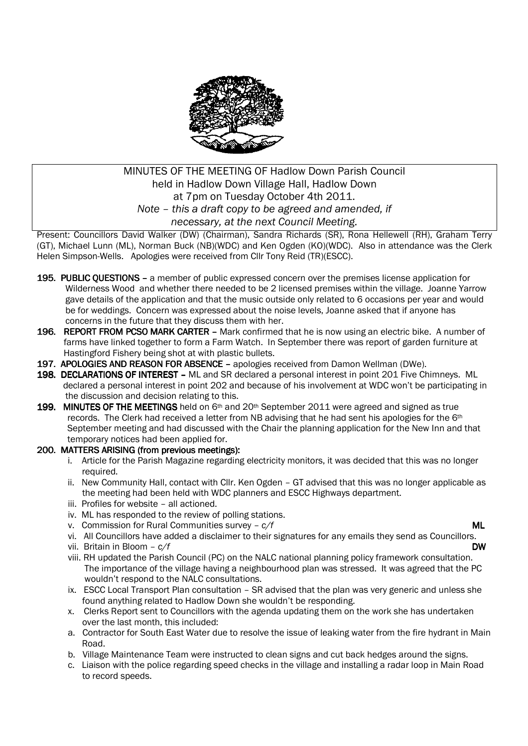

# MINUTES OF THE MEETING OF Hadlow Down Parish Council held in Hadlow Down Village Hall, Hadlow Down at 7pm on Tuesday October 4th 2011. *Note – this a draft copy to be agreed and amended, if necessary, at the next Council Meeting.*

Present: Councillors David Walker (DW) (Chairman), Sandra Richards (SR), Rona Hellewell (RH), Graham Terry (GT), Michael Lunn (ML), Norman Buck (NB)(WDC) and Ken Ogden (KO)(WDC). Also in attendance was the Clerk Helen Simpson-Wells. Apologies were received from Cllr Tony Reid (TR)(ESCC).

- 195. PUBLIC QUESTIONS a member of public expressed concern over the premises license application for Wilderness Wood and whether there needed to be 2 licensed premises within the village. Joanne Yarrow gave details of the application and that the music outside only related to 6 occasions per year and would be for weddings. Concern was expressed about the noise levels, Joanne asked that if anyone has concerns in the future that they discuss them with her.
- 196. REPORT FROM PCSO MARK CARTER Mark confirmed that he is now using an electric bike. A number of farms have linked together to form a Farm Watch. In September there was report of garden furniture at Hastingford Fishery being shot at with plastic bullets.
- 197. APOLOGIES AND REASON FOR ABSENCE apologies received from Damon Wellman (DWe).
- 198. DECLARATIONS OF INTEREST ML and SR declared a personal interest in point 201 Five Chimneys. ML declared a personal interest in point 202 and because of his involvement at WDC won't be participating in the discussion and decision relating to this.
- 199. MINUTES OF THE MEETINGS held on  $6<sup>th</sup>$  and  $20<sup>th</sup>$  September 2011 were agreed and signed as true records. The Clerk had received a letter from NB advising that he had sent his apologies for the 6<sup>th</sup> September meeting and had discussed with the Chair the planning application for the New Inn and that temporary notices had been applied for.

## 200. MATTERS ARISING (from previous meetings):

- i. Article for the Parish Magazine regarding electricity monitors, it was decided that this was no longer required.
- ii. New Community Hall, contact with Cllr. Ken Ogden GT advised that this was no longer applicable as the meeting had been held with WDC planners and ESCC Highways department.
- iii. Profiles for website all actioned.
- iv. ML has responded to the review of polling stations.
- v. Commission for Rural Communities survey  $c/f$  **ML**
- vi. All Councillors have added a disclaimer to their signatures for any emails they send as Councillors.
- vii. Britain in Bloom  *c/f* DW
- viii. RH updated the Parish Council (PC) on the NALC national planning policy framework consultation. The importance of the village having a neighbourhood plan was stressed. It was agreed that the PC wouldn't respond to the NALC consultations.
- ix. ESCC Local Transport Plan consultation SR advised that the plan was very generic and unless she found anything related to Hadlow Down she wouldn't be responding.
- x. Clerks Report sent to Councillors with the agenda updating them on the work she has undertaken over the last month, this included:
- a. Contractor for South East Water due to resolve the issue of leaking water from the fire hydrant in Main Road.
- b. Village Maintenance Team were instructed to clean signs and cut back hedges around the signs.
- c. Liaison with the police regarding speed checks in the village and installing a radar loop in Main Road to record speeds.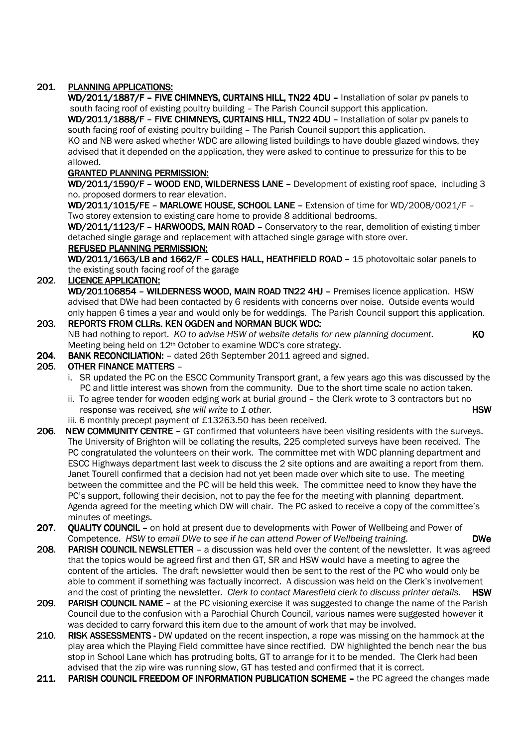## 201. PLANNING APPLICATIONS:

WD/2011/1887/F - FIVE CHIMNEYS, CURTAINS HILL, TN22 4DU - Installation of solar pv panels to south facing roof of existing poultry building – The Parish Council support this application.

WD/2011/1888/F – FIVE CHIMNEYS, CURTAINS HILL, TN22 4DU – Installation of solar pv panels to south facing roof of existing poultry building – The Parish Council support this application.

KO and NB were asked whether WDC are allowing listed buildings to have double glazed windows, they advised that it depended on the application, they were asked to continue to pressurize for this to be allowed.

### **GRANTED PLANNING PERMISSION:**

WD/2011/1590/F – WOOD END, WILDERNESS LANE – Development of existing roof space, including 3 no. proposed dormers to rear elevation.

WD/2011/1015/FE – MARLOWE HOUSE, SCHOOL LANE – Extension of time for WD/2008/0021/F – Two storey extension to existing care home to provide 8 additional bedrooms.

WD/2011/1123/F - HARWOODS, MAIN ROAD - Conservatory to the rear, demolition of existing timber detached single garage and replacement with attached single garage with store over.

### REFUSED PLANNING PERMISSION:

WD/2011/1663/LB and 1662/F - COLES HALL, HEATHFIELD ROAD - 15 photovoltaic solar panels to the existing south facing roof of the garage

### 202. LICENCE APPLICATION:

WD/201106854 - WILDERNESS WOOD, MAIN ROAD TN22 4HJ - Premises licence application. HSW advised that DWe had been contacted by 6 residents with concerns over noise. Outside events would only happen 6 times a year and would only be for weddings. The Parish Council support this application.

## 203. REPORTS FROM CLLRS. KEN OGDEN and NORMAN BUCK WDC:

NB had nothing to report. *KO to advise HSW of website details for new planning document.* **KO** Meeting being held on 12<sup>th</sup> October to examine WDC's core strategy.

204. BANK RECONCILIATION: - dated 26th September 2011 agreed and signed.

### 205. OTHER FINANCE MATTERS -

- i. SR updated the PC on the ESCC Community Transport grant, a few years ago this was discussed by the PC and little interest was shown from the community. Due to the short time scale no action taken.
- ii. To agree tender for wooden edging work at burial ground the Clerk wrote to 3 contractors but no response was received, she will write to 1 other. **HSW** and the state of the state of the state of the state of the state of the state of the state of the state of the state of the state of the state of the state of the st
- iii. 6 monthly precept payment of £13263.50 has been received.
- 206. NEW COMMUNITY CENTRE GT confirmed that volunteers have been visiting residents with the surveys. The University of Brighton will be collating the results, 225 completed surveys have been received. The PC congratulated the volunteers on their work. The committee met with WDC planning department and ESCC Highways department last week to discuss the 2 site options and are awaiting a report from them. Janet Tourell confirmed that a decision had not yet been made over which site to use. The meeting between the committee and the PC will be held this week. The committee need to know they have the PC's support, following their decision, not to pay the fee for the meeting with planning department. Agenda agreed for the meeting which DW will chair. The PC asked to receive a copy of the committee's minutes of meetings.
- 207. QUALITY COUNCIL on hold at present due to developments with Power of Wellbeing and Power of Competence. *HSW to email DWe to see if he can attend Power of Wellbeing training.* DWe
- 208. PARISH COUNCIL NEWSLETTER a discussion was held over the content of the newsletter. It was agreed that the topics would be agreed first and then GT, SR and HSW would have a meeting to agree the content of the articles. The draft newsletter would then be sent to the rest of the PC who would only be able to comment if something was factually incorrect. A discussion was held on the Clerk's involvement and the cost of printing the newsletter. *Clerk to contact Maresfield clerk to discuss printer details.* HSW
- 209. PARISH COUNCIL NAME at the PC visioning exercise it was suggested to change the name of the Parish Council due to the confusion with a Parochial Church Council, various names were suggested however it was decided to carry forward this item due to the amount of work that may be involved.
- 210. RISK ASSESSMENTS DW updated on the recent inspection, a rope was missing on the hammock at the play area which the Playing Field committee have since rectified. DW highlighted the bench near the bus stop in School Lane which has protruding bolts, GT to arrange for it to be mended. The Clerk had been advised that the zip wire was running slow, GT has tested and confirmed that it is correct.
- 211. PARISH COUNCIL FREEDOM OF INFORMATION PUBLICATION SCHEME the PC agreed the changes made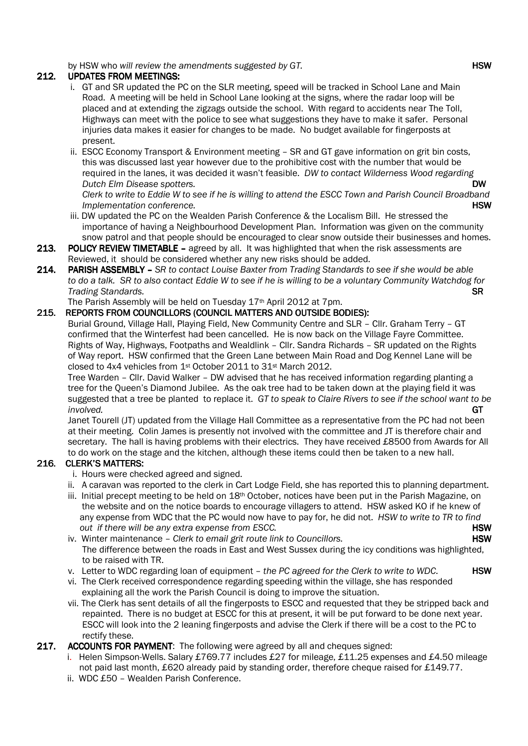by HSW who *will review the amendments suggested by GT.*  $\blacksquare$ 

## 212. UPDATES FROM MEETINGS:

- i. GT and SR updated the PC on the SLR meeting, speed will be tracked in School Lane and Main Road. A meeting will be held in School Lane looking at the signs, where the radar loop will be placed and at extending the zigzags outside the school. With regard to accidents near The Toll, Highways can meet with the police to see what suggestions they have to make it safer. Personal injuries data makes it easier for changes to be made. No budget available for fingerposts at present.
- ii. ESCC Economy Transport & Environment meeting SR and GT gave information on grit bin costs, this was discussed last year however due to the prohibitive cost with the number that would be required in the lanes, it was decided it wasn't feasible. *DW to contact Wilderness Wood regarding Dutch Elm Disease spotters.* DW

 *Clerk to write to Eddie W to see if he is willing to attend the ESCC Town and Parish Council Broadband Implementation conference.* And the set of the set of the set of the set of the set of the set of the set of the set of the set of the set of the set of the set of the set of the set of the set of the set of the set of

- iii. DW updated the PC on the Wealden Parish Conference & the Localism Bill. He stressed the importance of having a Neighbourhood Development Plan. Information was given on the community snow patrol and that people should be encouraged to clear snow outside their businesses and homes.
- 213. POLICY REVIEW TIMETABLE agreed by all. It was highlighted that when the risk assessments are Reviewed, it should be considered whether any new risks should be added.
- 214. PARISH ASSEMBLY *SR to contact Louise Baxter from Trading Standards to see if she would be able to do a talk. SR to also contact Eddie W to see if he is willing to be a voluntary Community Watchdog for Trading Standards.* SR **SR**

The Parish Assembly will be held on Tuesday 17th April 2012 at 7pm.

### 215. REPORTS FROM COUNCILLORS (COUNCIL MATTERS AND OUTSIDE BODIES):

 Burial Ground, Village Hall, Playing Field, New Community Centre and SLR – Cllr. Graham Terry – GT confirmed that the Winterfest had been cancelled. He is now back on the Village Fayre Committee. Rights of Way, Highways, Footpaths and Wealdlink – Cllr. Sandra Richards – SR updated on the Rights of Way report. HSW confirmed that the Green Lane between Main Road and Dog Kennel Lane will be closed to 4x4 vehicles from 1st October 2011 to 31st March 2012.

 Tree Warden – Cllr. David Walker – DW advised that he has received information regarding planting a tree for the Queen's Diamond Jubilee. As the oak tree had to be taken down at the playing field it was suggested that a tree be planted to replace it. *GT to speak to Claire Rivers to see if the school want to be involved.* GT

 Janet Tourell (JT) updated from the Village Hall Committee as a representative from the PC had not been at their meeting. Colin James is presently not involved with the committee and JT is therefore chair and secretary. The hall is having problems with their electrics. They have received £8500 from Awards for All to do work on the stage and the kitchen, although these items could then be taken to a new hall.

## 216. CLERK'S MATTERS:

- i. Hours were checked agreed and signed.
- ii. A caravan was reported to the clerk in Cart Lodge Field, she has reported this to planning department.
- iii. Initial precept meeting to be held on 18<sup>th</sup> October, notices have been put in the Parish Magazine, on the website and on the notice boards to encourage villagers to attend. HSW asked KO if he knew of any expense from WDC that the PC would now have to pay for, he did not. *HSW to write to TR to find*  out if there will be any extra expense from ESCC. **HSW**
- iv. Winter maintenance *Clerk to email grit route link to Councillors*. **HSW** The difference between the roads in East and West Sussex during the icy conditions was highlighted, to be raised with TR.
- v. Letter to WDC regarding loan of equipment *the PC agreed for the Clerk to write to WDC*. HSW
- vi. The Clerk received correspondence regarding speeding within the village, she has responded explaining all the work the Parish Council is doing to improve the situation.
- vii. The Clerk has sent details of all the fingerposts to ESCC and requested that they be stripped back and repainted. There is no budget at ESCC for this at present, it will be put forward to be done next year. ESCC will look into the 2 leaning fingerposts and advise the Clerk if there will be a cost to the PC to rectify these.
- 217. ACCOUNTS FOR PAYMENT: The following were agreed by all and cheques signed:
	- i. Helen Simpson-Wells. Salary £769.77 includes £27 for mileage, £11.25 expenses and £4.50 mileage not paid last month, £620 already paid by standing order, therefore cheque raised for £149.77.
	- ii. WDC £50 Wealden Parish Conference.